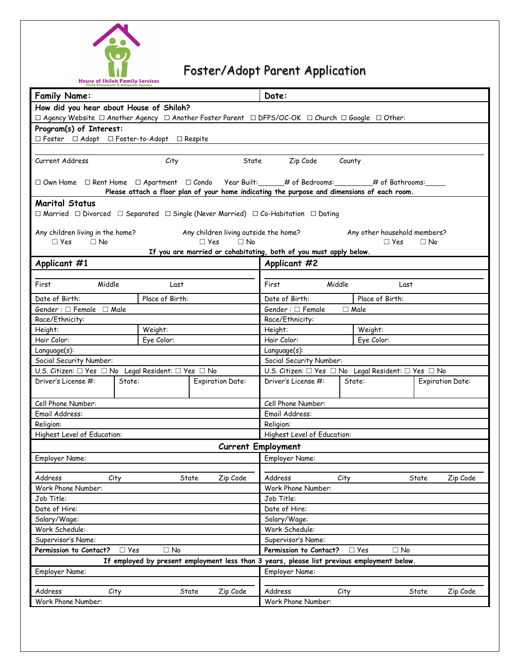

## Foster/Adopt Parent Application

| <b>Child Placement &amp; Adoption Agency</b><br><b>Family Name:</b>                                                                                                             |            |                 |                                                                                             | Date:                     |                             |                                                                         |           |                         |
|---------------------------------------------------------------------------------------------------------------------------------------------------------------------------------|------------|-----------------|---------------------------------------------------------------------------------------------|---------------------------|-----------------------------|-------------------------------------------------------------------------|-----------|-------------------------|
|                                                                                                                                                                                 |            |                 |                                                                                             |                           |                             |                                                                         |           |                         |
| How did you hear about House of Shiloh?<br>$\Box$ Agency Website $\Box$ Another Agency $\Box$ Another Foster Parent $\Box$ DFPS/OC-OK $\Box$ Church $\Box$ Google $\Box$ Other: |            |                 |                                                                                             |                           |                             |                                                                         |           |                         |
| Program(s) of Interest:<br>□ Foster □ Adopt □ Foster-to-Adopt □ Respite                                                                                                         |            |                 |                                                                                             |                           |                             |                                                                         |           |                         |
|                                                                                                                                                                                 |            |                 |                                                                                             |                           |                             |                                                                         |           |                         |
|                                                                                                                                                                                 |            |                 |                                                                                             |                           |                             |                                                                         |           |                         |
| Current Address                                                                                                                                                                 |            | City            | State                                                                                       |                           | Zip Code<br>County          |                                                                         |           |                         |
|                                                                                                                                                                                 |            |                 | Please attach a floor plan of your home indicating the purpose and dimensions of each room. |                           |                             |                                                                         |           |                         |
| <b>Marital Status</b>                                                                                                                                                           |            |                 |                                                                                             |                           |                             |                                                                         |           |                         |
| $\Box$ Married $\Box$ Divorced $\Box$ Separated $\Box$ Single (Never Married) $\Box$ Co-Habitation $\Box$ Dating                                                                |            |                 |                                                                                             |                           |                             |                                                                         |           |                         |
| Any children living in the home?                                                                                                                                                |            |                 | Any children living outside the home?                                                       |                           |                             | Any other household members?                                            |           |                         |
| $\Box$ No<br>$\Box$ Yes                                                                                                                                                         |            |                 | $\Box$ Yes<br>$\Box$ No                                                                     |                           |                             | □ Yes                                                                   | $\Box$ No |                         |
|                                                                                                                                                                                 |            |                 | If you are married or cohabitating, both of you must apply below.                           |                           |                             |                                                                         |           |                         |
| Applicant #1                                                                                                                                                                    |            |                 |                                                                                             | Applicant #2              |                             |                                                                         |           |                         |
| Middle<br>First                                                                                                                                                                 |            | Last            |                                                                                             | First                     | Middle                      | Last                                                                    |           |                         |
| Date of Birth:                                                                                                                                                                  |            | Place of Birth: |                                                                                             | Date of Birth:            |                             | Place of Birth:                                                         |           |                         |
| Gender: $\Box$ Female $\Box$ Male                                                                                                                                               |            |                 |                                                                                             | Gender : $\Box$ Female    |                             | $\Box$ Male                                                             |           |                         |
| Race/Ethnicity:                                                                                                                                                                 |            |                 |                                                                                             | Race/Ethnicity:           |                             |                                                                         |           |                         |
| Height:                                                                                                                                                                         |            | Weight:         |                                                                                             | Height:                   |                             | Weight:                                                                 |           |                         |
| Hair Color:                                                                                                                                                                     |            | Eye Color:      |                                                                                             | Hair Color:               |                             | Eye Color:                                                              |           |                         |
| Language(s):                                                                                                                                                                    |            |                 |                                                                                             | Language(s):              |                             |                                                                         |           |                         |
| Social Security Number:                                                                                                                                                         |            |                 |                                                                                             | Social Security Number:   |                             |                                                                         |           |                         |
| U.S. Citizen: □ Yes □ No Legal Resident: □ Yes □ No                                                                                                                             |            |                 |                                                                                             |                           |                             | U.S. Citizen: $\Box$ Yes $\Box$ No Legal Resident: $\Box$ Yes $\Box$ No |           |                         |
| Driver's License #:                                                                                                                                                             | State:     |                 | <b>Expiration Date:</b>                                                                     | Driver's License #:       |                             | State:                                                                  |           | <b>Expiration Date:</b> |
| Cell Phone Number:                                                                                                                                                              |            |                 |                                                                                             | Cell Phone Number:        |                             |                                                                         |           |                         |
| Email Address:                                                                                                                                                                  |            |                 |                                                                                             | Email Address:            |                             |                                                                         |           |                         |
| Religion:                                                                                                                                                                       |            |                 |                                                                                             | Religion:                 |                             |                                                                         |           |                         |
| Highest Level of Education:                                                                                                                                                     |            |                 |                                                                                             |                           | Highest Level of Education: |                                                                         |           |                         |
|                                                                                                                                                                                 |            |                 |                                                                                             | <b>Current Employment</b> |                             |                                                                         |           |                         |
| Employer Name:                                                                                                                                                                  |            |                 |                                                                                             | Employer Name:            |                             |                                                                         |           |                         |
|                                                                                                                                                                                 |            |                 |                                                                                             |                           |                             |                                                                         |           |                         |
| Address                                                                                                                                                                         | City       |                 | State<br>Zip Code                                                                           | Address                   | City                        |                                                                         | State     | Zip Code                |
| Work Phone Number:                                                                                                                                                              |            |                 |                                                                                             | Work Phone Number:        |                             |                                                                         |           |                         |
| Job Title:                                                                                                                                                                      |            |                 |                                                                                             | Job Title:                |                             |                                                                         |           |                         |
| Date of Hire:                                                                                                                                                                   |            |                 |                                                                                             | Date of Hire:             |                             |                                                                         |           |                         |
| Salary/Wage:                                                                                                                                                                    |            |                 |                                                                                             | Salary/Wage:              |                             |                                                                         |           |                         |
| Work Schedule:                                                                                                                                                                  |            |                 |                                                                                             | Work Schedule:            |                             |                                                                         |           |                         |
| Supervisor's Name:                                                                                                                                                              |            |                 |                                                                                             | Supervisor's Name:        |                             |                                                                         |           |                         |
| Permission to Contact?                                                                                                                                                          | $\Box$ Yes | $\Box$ No       |                                                                                             | Permission to Contact?    |                             | $\Box$ Yes<br>$\Box$ No                                                 |           |                         |
|                                                                                                                                                                                 |            |                 | If employed by present employment less than 3 years, please list previous employment below. |                           |                             |                                                                         |           |                         |
| Employer Name:                                                                                                                                                                  |            |                 |                                                                                             | Employer Name:            |                             |                                                                         |           |                         |
|                                                                                                                                                                                 |            |                 |                                                                                             |                           |                             |                                                                         |           |                         |
| Address                                                                                                                                                                         | City       |                 | State<br>Zip Code                                                                           | Address                   | City                        |                                                                         | State     | Zip Code                |
| Work Phone Number:                                                                                                                                                              |            |                 |                                                                                             | Work Phone Number:        |                             |                                                                         |           |                         |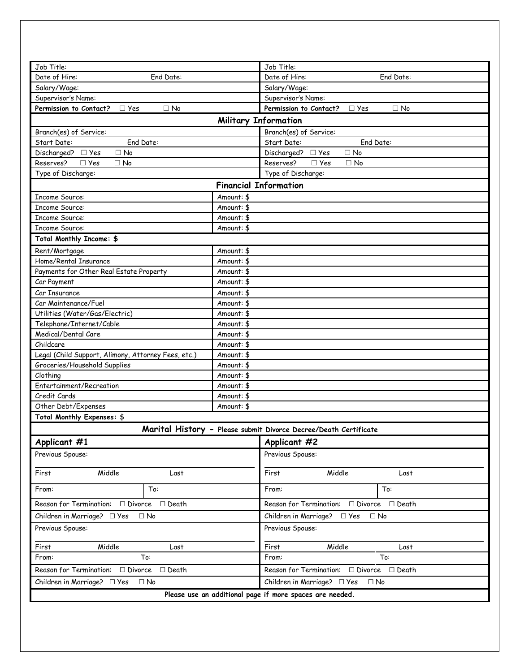| Job Title:                                                   |            | Job Title:                                                       |
|--------------------------------------------------------------|------------|------------------------------------------------------------------|
| Date of Hire:<br>End Date:                                   |            | Date of Hire:<br>End Date:                                       |
| Salary/Wage:                                                 |            | Salary/Wage:                                                     |
| Supervisor's Name:                                           |            | Supervisor's Name:                                               |
| Permission to Contact? □ Yes<br>$\square$ No                 |            | Permission to Contact?<br>$\Box$ No<br>$\Box$ Yes                |
|                                                              |            | <b>Military Information</b>                                      |
| Branch(es) of Service:                                       |            | Branch(es) of Service:                                           |
| Start Date:<br>End Date:                                     |            | Start Date:<br>End Date:                                         |
| Discharged? □ Yes<br>$\Box$ No                               |            | Discharged? □ Yes<br>$\Box$ No                                   |
| Reserves?<br>$\Box$ Yes<br>$\Box$ No                         |            | Reserves?<br>$\Box$ Yes<br>$\Box$ No                             |
| Type of Discharge:                                           |            | Type of Discharge:                                               |
|                                                              |            | <b>Financial Information</b>                                     |
| Income Source:                                               | Amount: \$ |                                                                  |
| <b>Income Source:</b>                                        | Amount: \$ |                                                                  |
| <b>Income Source:</b>                                        | Amount: \$ |                                                                  |
| <b>Income Source:</b>                                        | Amount: \$ |                                                                  |
| Total Monthly Income: \$                                     |            |                                                                  |
| Rent/Mortgage                                                | Amount: \$ |                                                                  |
| Home/Rental Insurance                                        | Amount: \$ |                                                                  |
| Payments for Other Real Estate Property                      | Amount: \$ |                                                                  |
| Car Payment                                                  | Amount: \$ |                                                                  |
| Car Insurance                                                | Amount: \$ |                                                                  |
| Car Maintenance/Fuel                                         | Amount: \$ |                                                                  |
| Utilities (Water/Gas/Electric)                               | Amount: \$ |                                                                  |
| Telephone/Internet/Cable                                     | Amount: \$ |                                                                  |
| Medical/Dental Care                                          | Amount: \$ |                                                                  |
| Childcare                                                    | Amount: \$ |                                                                  |
| Legal (Child Support, Alimony, Attorney Fees, etc.)          | Amount: \$ |                                                                  |
| Groceries/Household Supplies                                 | Amount: \$ |                                                                  |
| Clothing                                                     | Amount: \$ |                                                                  |
| Entertainment/Recreation                                     | Amount: \$ |                                                                  |
| Credit Cards                                                 | Amount: \$ |                                                                  |
| Other Debt/Expenses                                          | Amount: \$ |                                                                  |
| Total Monthly Expenses: \$                                   |            |                                                                  |
|                                                              |            | Marital History - Please submit Divorce Decree/Death Certificate |
| Applicant #1                                                 |            | Applicant #2                                                     |
| Previous Spouse:                                             |            | Previous Spouse:                                                 |
| Middle<br>First<br>Last                                      |            | Middle<br>First<br>Last                                          |
| To:<br>From:                                                 |            | To:<br>From:                                                     |
| Reason for Termination: □ Divorce □ Death                    |            | Reason for Termination:<br>$\Box$ Divorce $\Box$ Death           |
| Children in Marriage? $\square$ Yes<br>$\Box$ No             |            | Children in Marriage? $\square$ Yes<br>$\Box$ No                 |
| Previous Spouse:                                             |            | Previous Spouse:                                                 |
| Middle<br>First<br>Last                                      |            | Middle<br>First<br>Last                                          |
| To:<br>From:                                                 |            | To:<br>From:                                                     |
| Reason for Termination:<br>$\square$ Divorce<br>$\Box$ Death |            | Reason for Termination:<br>$\square$ Divorce<br>$\Box$ Death     |
| Children in Marriage? □ Yes<br>$\Box$ No                     |            | Children in Marriage? □ Yes<br>$\Box$ No                         |
|                                                              |            | Please use an additional page if more spaces are needed.         |
|                                                              |            |                                                                  |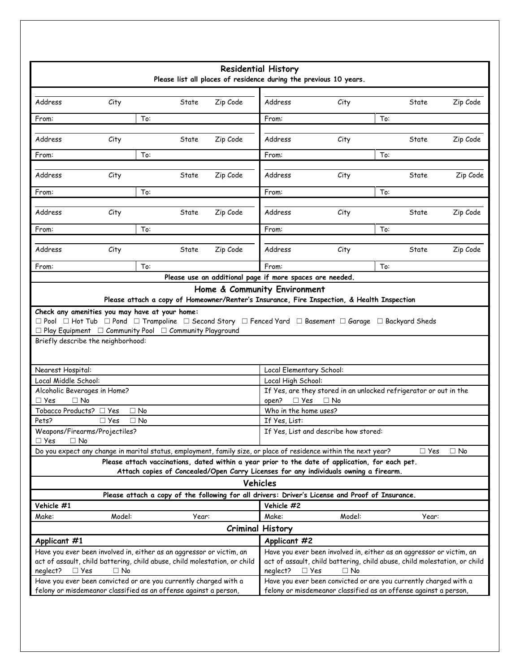|                                                    |                                                                                                                                                                                                                                                                      |       |          | <b>Residential History</b>                                        |                                                                                                                                      |            |           |
|----------------------------------------------------|----------------------------------------------------------------------------------------------------------------------------------------------------------------------------------------------------------------------------------------------------------------------|-------|----------|-------------------------------------------------------------------|--------------------------------------------------------------------------------------------------------------------------------------|------------|-----------|
|                                                    |                                                                                                                                                                                                                                                                      |       |          | Please list all places of residence during the previous 10 years. |                                                                                                                                      |            |           |
|                                                    |                                                                                                                                                                                                                                                                      |       |          |                                                                   |                                                                                                                                      |            |           |
| Address                                            | City                                                                                                                                                                                                                                                                 | State | Zip Code | Address                                                           | City                                                                                                                                 | State      | Zip Code  |
| From:                                              | To:                                                                                                                                                                                                                                                                  |       |          | From:                                                             |                                                                                                                                      | To:        |           |
| Address                                            | City                                                                                                                                                                                                                                                                 | State | Zip Code | Address                                                           | City                                                                                                                                 | State      | Zip Code  |
| From:                                              | To:                                                                                                                                                                                                                                                                  |       |          | From:                                                             |                                                                                                                                      | To:        |           |
| Address                                            |                                                                                                                                                                                                                                                                      | State | Zip Code | Address                                                           |                                                                                                                                      | State      | Zip Code  |
|                                                    | City                                                                                                                                                                                                                                                                 |       |          |                                                                   | City                                                                                                                                 |            |           |
| From:                                              | To:                                                                                                                                                                                                                                                                  |       |          | From:                                                             |                                                                                                                                      | To:        |           |
| Address                                            | City                                                                                                                                                                                                                                                                 | State | Zip Code | Address                                                           | City                                                                                                                                 | State      | Zip Code  |
| From:                                              | To:                                                                                                                                                                                                                                                                  |       |          | From:                                                             |                                                                                                                                      | To:        |           |
| Address                                            | City                                                                                                                                                                                                                                                                 | State | Zip Code | Address                                                           | City                                                                                                                                 | State      | Zip Code  |
| From:                                              | To:                                                                                                                                                                                                                                                                  |       |          | From:                                                             |                                                                                                                                      | To:        |           |
|                                                    |                                                                                                                                                                                                                                                                      |       |          | Please use an additional page if more spaces are needed.          |                                                                                                                                      |            |           |
|                                                    |                                                                                                                                                                                                                                                                      |       |          | Home & Community Environment                                      |                                                                                                                                      |            |           |
|                                                    |                                                                                                                                                                                                                                                                      |       |          |                                                                   | Please attach a copy of Homeowner/Renter's Insurance, Fire Inspection, & Health Inspection                                           |            |           |
|                                                    | $\Box$ Pool $\Box$ Hot Tub $\Box$ Pond $\Box$ Trampoline $\Box$ Second Story $\Box$ Fenced Yard $\Box$ Basement $\Box$ Garage $\Box$ Backyard Sheds<br>$\Box$ Play Equipment $\Box$ Community Pool $\Box$ Community Playground<br>Briefly describe the neighborhood: |       |          |                                                                   |                                                                                                                                      |            |           |
|                                                    |                                                                                                                                                                                                                                                                      |       |          |                                                                   |                                                                                                                                      |            |           |
| Nearest Hospital:<br>Local Middle School:          |                                                                                                                                                                                                                                                                      |       |          | Local Elementary School:<br>Local High School:                    |                                                                                                                                      |            |           |
| Alcoholic Beverages in Home?                       |                                                                                                                                                                                                                                                                      |       |          |                                                                   | If Yes, are they stored in an unlocked refrigerator or out in the                                                                    |            |           |
| $\Box$ Yes<br>$\Box$ No<br>Tobacco Products? □ Yes | $\Box$ No                                                                                                                                                                                                                                                            |       |          | open?<br>Who in the home uses?                                    | $\Box$ Yes $\Box$ No                                                                                                                 |            |           |
| Pets?                                              | $\square$ Yes<br>$\Box$ No                                                                                                                                                                                                                                           |       |          | If Yes, List:                                                     |                                                                                                                                      |            |           |
|                                                    | Weapons/Firearms/Projectiles?                                                                                                                                                                                                                                        |       |          |                                                                   | If Yes, List and describe how stored:                                                                                                |            |           |
| □ Yes<br>$\Box$ No                                 | Do you expect any change in marital status, employment, family size, or place of residence within the next year?                                                                                                                                                     |       |          |                                                                   |                                                                                                                                      | $\Box$ Yes | $\Box$ No |
|                                                    |                                                                                                                                                                                                                                                                      |       |          |                                                                   | Please attach vaccinations, dated within a year prior to the date of application, for each pet.                                      |            |           |
|                                                    |                                                                                                                                                                                                                                                                      |       |          |                                                                   | Attach copies of Concealed/Open Carry Licenses for any individuals owning a firearm.                                                 |            |           |
|                                                    |                                                                                                                                                                                                                                                                      |       |          | Vehicles                                                          |                                                                                                                                      |            |           |
|                                                    |                                                                                                                                                                                                                                                                      |       |          |                                                                   | Please attach a copy of the following for all drivers: Driver's License and Proof of Insurance.                                      |            |           |
| Vehicle #1                                         |                                                                                                                                                                                                                                                                      |       |          | Vehicle #2                                                        |                                                                                                                                      |            |           |
| Make:                                              | Model:                                                                                                                                                                                                                                                               | Year: |          | Make:                                                             | Model:                                                                                                                               | Year:      |           |
|                                                    |                                                                                                                                                                                                                                                                      |       |          | <b>Criminal History</b>                                           |                                                                                                                                      |            |           |
| Applicant #1                                       | Have you ever been involved in, either as an aggressor or victim, an                                                                                                                                                                                                 |       |          | Applicant #2                                                      | Have you ever been involved in, either as an aggressor or victim, an                                                                 |            |           |
| $\square$ Yes<br>neglect?                          | act of assault, child battering, child abuse, child molestation, or child<br>$\Box$ No                                                                                                                                                                               |       |          | $\square$ Yes<br>neglect?                                         | act of assault, child battering, child abuse, child molestation, or child<br>$\Box$ No                                               |            |           |
|                                                    | Have you ever been convicted or are you currently charged with a<br>felony or misdemeanor classified as an offense against a person,                                                                                                                                 |       |          |                                                                   | Have you ever been convicted or are you currently charged with a<br>felony or misdemeanor classified as an offense against a person, |            |           |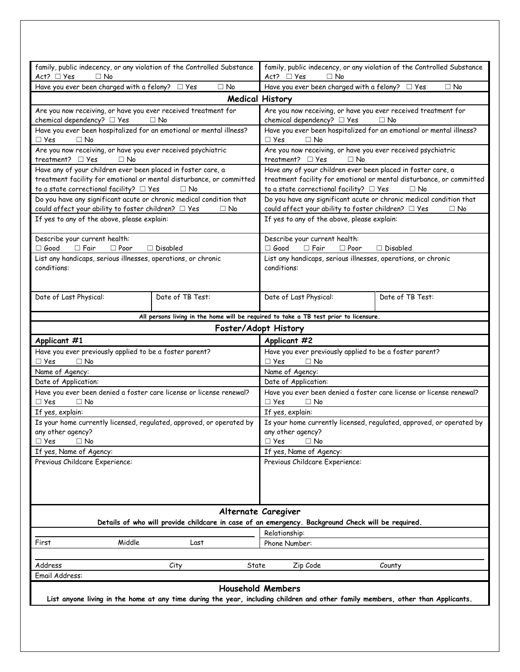| family, public indecency, or any violation of the Controlled Substance                                                          |                                                                                                   |                          |                  |                                              |             | family, public indecency, or any violation of the Controlled Substance                                                     |           |
|---------------------------------------------------------------------------------------------------------------------------------|---------------------------------------------------------------------------------------------------|--------------------------|------------------|----------------------------------------------|-------------|----------------------------------------------------------------------------------------------------------------------------|-----------|
| $Act?$ $\Box$ Yes<br>$\Box$ No                                                                                                  |                                                                                                   |                          | Act? $\Box$ Yes  | $\Box$ No                                    |             |                                                                                                                            |           |
| Have you ever been charged with a felony? $\Box$ Yes                                                                            |                                                                                                   | $\Box$ No                |                  |                                              |             | Have you ever been charged with a felony? $\Box$ Yes                                                                       | $\Box$ No |
|                                                                                                                                 |                                                                                                   | <b>Medical History</b>   |                  |                                              |             |                                                                                                                            |           |
| Are you now receiving, or have you ever received treatment for<br>chemical dependency? □ Yes                                    | $\Box$ No                                                                                         |                          |                  | chemical dependency? □ Yes                   |             | Are you now receiving, or have you ever received treatment for<br>$\Box$ No                                                |           |
| Have you ever been hospitalized for an emotional or mental illness?<br>$\Box$ No<br>$\square$ Yes                               |                                                                                                   |                          | $\Box$ Yes       | $\Box$ No                                    |             | Have you ever been hospitalized for an emotional or mental illness?                                                        |           |
| Are you now receiving, or have you ever received psychiatric<br>treatment? □ Yes<br>$\Box$ No                                   |                                                                                                   |                          |                  | treatment? $\Box$ Yes                        | $\Box$ No   | Are you now receiving, or have you ever received psychiatric                                                               |           |
| Have any of your children ever been placed in foster care, a                                                                    |                                                                                                   |                          |                  |                                              |             | Have any of your children ever been placed in foster care, a                                                               |           |
| treatment facility for emotional or mental disturbance, or committed                                                            |                                                                                                   |                          |                  |                                              |             | treatment facility for emotional or mental disturbance, or committed                                                       |           |
| to a state correctional facility? $\Box$ Yes                                                                                    | $\Box$ No                                                                                         |                          |                  | to a state correctional facility? $\Box$ Yes |             | $\Box$ No                                                                                                                  |           |
| Do you have any significant acute or chronic medical condition that<br>could affect your ability to foster children? □ Yes      |                                                                                                   | $\Box$ No                |                  |                                              |             | Do you have any significant acute or chronic medical condition that<br>could affect your ability to foster children? □ Yes | $\Box$ No |
| If yes to any of the above, please explain:                                                                                     |                                                                                                   |                          |                  | If yes to any of the above, please explain:  |             |                                                                                                                            |           |
| Describe your current health:<br>$\Box$ Fair<br>$\Box$ Poor<br>$\Box$ Good                                                      | $\Box$ Disabled                                                                                   |                          | $\Box$ Good      | Describe your current health:<br>$\Box$ Fair | $\Box$ Poor | $\Box$ Disabled                                                                                                            |           |
| List any handicaps, serious illnesses, operations, or chronic<br>conditions:                                                    |                                                                                                   |                          | conditions:      |                                              |             | List any handicaps, serious illnesses, operations, or chronic                                                              |           |
| Date of Last Physical:                                                                                                          | Date of TB Test:                                                                                  |                          |                  | Date of Last Physical:                       |             | Date of TB Test:                                                                                                           |           |
|                                                                                                                                 | All persons living in the home will be required to take a TB test prior to licensure.             |                          |                  |                                              |             |                                                                                                                            |           |
|                                                                                                                                 |                                                                                                   | Foster/Adopt History     |                  |                                              |             |                                                                                                                            |           |
| Applicant #1                                                                                                                    |                                                                                                   |                          | Applicant #2     |                                              |             |                                                                                                                            |           |
| Have you ever previously applied to be a foster parent?<br>$\Box$ No<br>$\Box$ Yes                                              |                                                                                                   |                          | $\Box$ Yes       | $\Box$ No                                    |             | Have you ever previously applied to be a foster parent?                                                                    |           |
| Name of Agency:                                                                                                                 |                                                                                                   |                          |                  | Name of Agency:                              |             |                                                                                                                            |           |
| Date of Application:                                                                                                            |                                                                                                   |                          |                  | Date of Application:                         |             |                                                                                                                            |           |
| Have you ever been denied a foster care license or license renewal?<br>$\Box$ No<br>$\Box$ Yes                                  |                                                                                                   |                          | $\Box$ Yes       | $\Box$ No                                    |             | Have you ever been denied a foster care license or license renewal?                                                        |           |
| If yes, explain:                                                                                                                |                                                                                                   |                          | If yes, explain: |                                              |             |                                                                                                                            |           |
| Is your home currently licensed, regulated, approved, or operated by<br>any other agency?                                       |                                                                                                   |                          |                  | any other agency?                            |             | Is your home currently licensed, regulated, approved, or operated by                                                       |           |
| $\Box$ Yes<br>$\Box$ No                                                                                                         |                                                                                                   |                          | $\Box$ Yes       | $\Box$ No                                    |             |                                                                                                                            |           |
| If yes, Name of Agency:                                                                                                         |                                                                                                   |                          |                  | If yes, Name of Agency:                      |             |                                                                                                                            |           |
| Previous Childcare Experience:                                                                                                  |                                                                                                   |                          |                  | Previous Childcare Experience:               |             |                                                                                                                            |           |
|                                                                                                                                 |                                                                                                   | Alternate Caregiver      |                  |                                              |             |                                                                                                                            |           |
|                                                                                                                                 | Details of who will provide childcare in case of an emergency. Background Check will be required. |                          |                  |                                              |             |                                                                                                                            |           |
|                                                                                                                                 |                                                                                                   |                          | Relationship:    |                                              |             |                                                                                                                            |           |
| Middle<br>First                                                                                                                 | Last                                                                                              |                          | Phone Number:    |                                              |             |                                                                                                                            |           |
| Address                                                                                                                         | City                                                                                              | State                    |                  | Zip Code                                     |             | County                                                                                                                     |           |
| Email Address:                                                                                                                  |                                                                                                   |                          |                  |                                              |             |                                                                                                                            |           |
|                                                                                                                                 |                                                                                                   | <b>Household Members</b> |                  |                                              |             |                                                                                                                            |           |
| List anyone living in the home at any time during the year, including children and other family members, other than Applicants. |                                                                                                   |                          |                  |                                              |             |                                                                                                                            |           |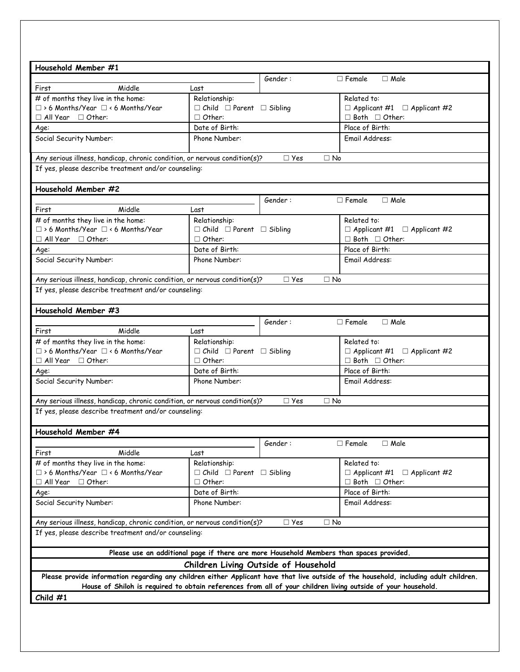| Household Member #1                                                                                                                                                                                                                                   |                                           |                                                                                         |                                         |
|-------------------------------------------------------------------------------------------------------------------------------------------------------------------------------------------------------------------------------------------------------|-------------------------------------------|-----------------------------------------------------------------------------------------|-----------------------------------------|
|                                                                                                                                                                                                                                                       |                                           | Gender:                                                                                 | $\Box$ Female<br>$\Box$ Male            |
| Middle<br>First                                                                                                                                                                                                                                       | Last                                      |                                                                                         |                                         |
| # of months they live in the home:                                                                                                                                                                                                                    | Relationship:                             |                                                                                         | Related to:                             |
| $\Box$ > 6 Months/Year $\Box$ < 6 Months/Year                                                                                                                                                                                                         | $\Box$ Child $\Box$ Parent $\Box$ Sibling |                                                                                         | $\Box$ Applicant #1 $\Box$ Applicant #2 |
| $\Box$ All Year $\Box$ Other:                                                                                                                                                                                                                         | $\Box$ Other:                             |                                                                                         | $\Box$ Both $\Box$ Other:               |
| Age:                                                                                                                                                                                                                                                  | Date of Birth:                            |                                                                                         | Place of Birth:                         |
| Social Security Number:                                                                                                                                                                                                                               | Phone Number:                             |                                                                                         | Email Address:                          |
| Any serious illness, handicap, chronic condition, or nervous condition(s)?                                                                                                                                                                            |                                           | $\square$ Yes<br>$\Box$ No                                                              |                                         |
| If yes, please describe treatment and/or counseling:                                                                                                                                                                                                  |                                           |                                                                                         |                                         |
| Household Member #2                                                                                                                                                                                                                                   |                                           |                                                                                         |                                         |
|                                                                                                                                                                                                                                                       |                                           | Gender:                                                                                 | $\Box$ Male<br>$\Box$ Female            |
| Middle<br>First                                                                                                                                                                                                                                       | Last                                      |                                                                                         |                                         |
| # of months they live in the home:                                                                                                                                                                                                                    | Relationship:                             |                                                                                         | Related to:                             |
| $\Box$ > 6 Months/Year $\Box$ < 6 Months/Year                                                                                                                                                                                                         | $\Box$ Child $\Box$ Parent $\Box$ Sibling |                                                                                         | $\Box$ Applicant #1 $\Box$ Applicant #2 |
| $\Box$ All Year $\Box$ Other:                                                                                                                                                                                                                         | $\Box$ Other:                             |                                                                                         | $\Box$ Both $\Box$ Other:               |
| Age:                                                                                                                                                                                                                                                  | Date of Birth:                            |                                                                                         | Place of Birth:                         |
| Social Security Number:                                                                                                                                                                                                                               | Phone Number:                             |                                                                                         | Email Address:                          |
| Any serious illness, handicap, chronic condition, or nervous condition(s)?                                                                                                                                                                            |                                           | $\Box$ Yes<br>$\Box$ No                                                                 |                                         |
| If yes, please describe treatment and/or counseling:                                                                                                                                                                                                  |                                           |                                                                                         |                                         |
| Household Member #3                                                                                                                                                                                                                                   |                                           |                                                                                         |                                         |
|                                                                                                                                                                                                                                                       |                                           | Gender:                                                                                 | $\Box$ Female<br>$\Box$ Male            |
| Middle<br>First                                                                                                                                                                                                                                       | Last                                      |                                                                                         |                                         |
| # of months they live in the home:                                                                                                                                                                                                                    | Relationship:                             |                                                                                         | Related to:                             |
| □ > 6 Months/Year □ < 6 Months/Year                                                                                                                                                                                                                   | $\Box$ Child $\Box$ Parent $\Box$ Sibling |                                                                                         | $\Box$ Applicant #1 $\Box$ Applicant #2 |
| $\Box$ All Year $\Box$ Other:                                                                                                                                                                                                                         | $\Box$ Other:                             |                                                                                         | $\Box$ Both $\Box$ Other:               |
| Age:                                                                                                                                                                                                                                                  | Date of Birth:                            |                                                                                         | Place of Birth:                         |
| Social Security Number:                                                                                                                                                                                                                               | Phone Number:                             |                                                                                         | Email Address:                          |
| Any serious illness, handicap, chronic condition, or nervous condition(s)?                                                                                                                                                                            |                                           | $\Box$ Yes<br>$\Box$ No                                                                 |                                         |
| If yes, please describe treatment and/or counseling:                                                                                                                                                                                                  |                                           |                                                                                         |                                         |
|                                                                                                                                                                                                                                                       |                                           |                                                                                         |                                         |
| Household Member #4                                                                                                                                                                                                                                   |                                           |                                                                                         |                                         |
|                                                                                                                                                                                                                                                       |                                           | Gender:                                                                                 | $\Box$ Female<br>$\Box$ Male            |
| Middle<br>First                                                                                                                                                                                                                                       | Last                                      |                                                                                         |                                         |
| # of months they live in the home:                                                                                                                                                                                                                    | Relationship:                             |                                                                                         | Related to:                             |
| $\Box$ > 6 Months/Year $\Box$ < 6 Months/Year                                                                                                                                                                                                         | $\Box$ Child $\Box$ Parent $\Box$ Sibling |                                                                                         | $\Box$ Applicant #1 $\Box$ Applicant #2 |
| $\Box$ All Year $\Box$ Other:                                                                                                                                                                                                                         | $\Box$ Other:                             |                                                                                         | $\Box$ Both $\Box$ Other:               |
| Age:                                                                                                                                                                                                                                                  | Date of Birth:                            |                                                                                         | Place of Birth:                         |
| Social Security Number:                                                                                                                                                                                                                               | Phone Number:                             |                                                                                         | Email Address:                          |
| Any serious illness, handicap, chronic condition, or nervous condition(s)?                                                                                                                                                                            |                                           | $\Box$ Yes<br>$\Box$ No                                                                 |                                         |
| If yes, please describe treatment and/or counseling:                                                                                                                                                                                                  |                                           |                                                                                         |                                         |
|                                                                                                                                                                                                                                                       |                                           | Please use an additional page if there are more Household Members than spaces provided. |                                         |
|                                                                                                                                                                                                                                                       |                                           | Children Living Outside of Household                                                    |                                         |
| Please provide information regarding any children either Applicant have that live outside of the household, including adult children.<br>House of Shiloh is required to obtain references from all of your children living outside of your household. |                                           |                                                                                         |                                         |
| Child $#1$                                                                                                                                                                                                                                            |                                           |                                                                                         |                                         |
|                                                                                                                                                                                                                                                       |                                           |                                                                                         |                                         |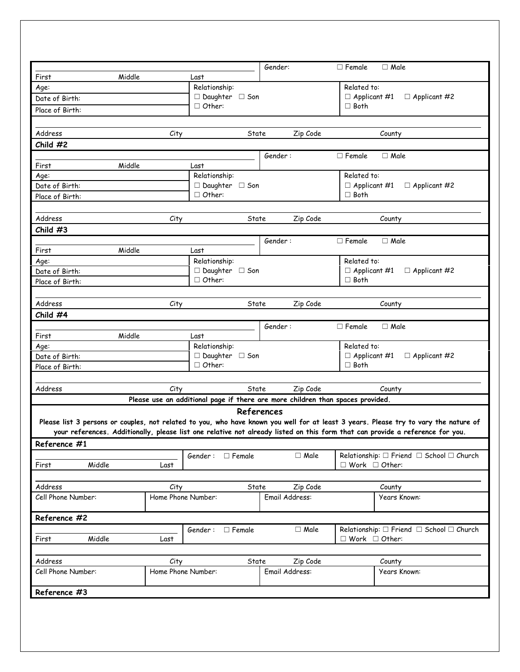|                               |                            |                                             | Gender:                                                                        | $\Box$ Male<br>$\Box$ Female                                                                                                                                                                                                                                          |
|-------------------------------|----------------------------|---------------------------------------------|--------------------------------------------------------------------------------|-----------------------------------------------------------------------------------------------------------------------------------------------------------------------------------------------------------------------------------------------------------------------|
| Middle<br>First               |                            | Last                                        |                                                                                |                                                                                                                                                                                                                                                                       |
| Age:                          |                            | Relationship:                               |                                                                                | Related to:                                                                                                                                                                                                                                                           |
| Date of Birth:                |                            | $\Box$ Daughter $\Box$ Son<br>$\Box$ Other: |                                                                                | $\Box$ Applicant #1 $\Box$ Applicant #2<br>$\Box$ Both                                                                                                                                                                                                                |
| Place of Birth:               |                            |                                             |                                                                                |                                                                                                                                                                                                                                                                       |
|                               |                            |                                             |                                                                                |                                                                                                                                                                                                                                                                       |
| Address                       | City                       | State                                       | Zip Code                                                                       | County                                                                                                                                                                                                                                                                |
| Child #2                      |                            |                                             |                                                                                |                                                                                                                                                                                                                                                                       |
|                               |                            |                                             | Gender:                                                                        | $\Box$ Male<br>$\Box$ Female                                                                                                                                                                                                                                          |
| Middle<br>First               |                            | Last                                        |                                                                                |                                                                                                                                                                                                                                                                       |
| Age:                          |                            | Relationship:                               |                                                                                | Related to:                                                                                                                                                                                                                                                           |
| Date of Birth:                |                            | $\Box$ Daughter $\Box$ Son                  |                                                                                | $\Box$ Applicant #1<br>$\Box$ Applicant #2                                                                                                                                                                                                                            |
| Place of Birth:               |                            | $\Box$ Other:                               |                                                                                | $\Box$ Both                                                                                                                                                                                                                                                           |
|                               |                            |                                             |                                                                                |                                                                                                                                                                                                                                                                       |
| Address                       | City                       | State                                       | Zip Code                                                                       | County                                                                                                                                                                                                                                                                |
| Child $#3$                    |                            |                                             |                                                                                |                                                                                                                                                                                                                                                                       |
|                               |                            |                                             | Gender:                                                                        | $\Box$ Female<br>$\Box$ Male                                                                                                                                                                                                                                          |
| Middle<br>First               |                            | Last                                        |                                                                                |                                                                                                                                                                                                                                                                       |
| Age:                          |                            | Relationship:                               |                                                                                | Related to:                                                                                                                                                                                                                                                           |
| Date of Birth:                |                            | $\Box$ Daughter $\Box$ Son<br>$\Box$ Other: |                                                                                | $\Box$ Applicant #1 $\Box$ Applicant #2<br>$\Box$ Both                                                                                                                                                                                                                |
| Place of Birth:               |                            |                                             |                                                                                |                                                                                                                                                                                                                                                                       |
|                               |                            |                                             |                                                                                |                                                                                                                                                                                                                                                                       |
| Address                       | City                       | State                                       | Zip Code                                                                       | County                                                                                                                                                                                                                                                                |
| Child #4                      |                            |                                             |                                                                                |                                                                                                                                                                                                                                                                       |
|                               |                            |                                             | Gender:                                                                        | $\Box$ Female<br>$\Box$ Male                                                                                                                                                                                                                                          |
| Middle<br>First               |                            | Last                                        |                                                                                |                                                                                                                                                                                                                                                                       |
| Age:<br>Date of Birth:        |                            | Relationship:<br>$\Box$ Daughter $\Box$ Son |                                                                                | Related to:<br>$\Box$ Applicant #1<br>$\Box$ Applicant #2                                                                                                                                                                                                             |
| Place of Birth:               |                            | $\Box$ Other:                               |                                                                                | $\Box$ Both                                                                                                                                                                                                                                                           |
|                               |                            |                                             |                                                                                |                                                                                                                                                                                                                                                                       |
| Address                       | City                       | State                                       | Zip Code                                                                       | County                                                                                                                                                                                                                                                                |
|                               |                            |                                             | Please use an additional page if there are more children than spaces provided. |                                                                                                                                                                                                                                                                       |
|                               |                            |                                             |                                                                                |                                                                                                                                                                                                                                                                       |
|                               |                            |                                             | References                                                                     |                                                                                                                                                                                                                                                                       |
|                               |                            |                                             |                                                                                | Please list 3 persons or couples, not related to you, who have known you well for at least 3 years. Please try to vary the nature of<br>your references. Additionally, please list one relative not already listed on this form that can provide a reference for you. |
|                               |                            |                                             |                                                                                |                                                                                                                                                                                                                                                                       |
| Reference #1                  |                            |                                             |                                                                                |                                                                                                                                                                                                                                                                       |
| Middle<br>First               | Last                       | Gender: □ Female                            | $\Box$ Male                                                                    | Relationship: $\square$ Friend $\square$ School $\square$ Church<br>$\Box$ Work $\Box$ Other:                                                                                                                                                                         |
|                               |                            |                                             |                                                                                |                                                                                                                                                                                                                                                                       |
|                               |                            | State                                       |                                                                                |                                                                                                                                                                                                                                                                       |
| Address<br>Cell Phone Number: | City<br>Home Phone Number: |                                             | Zip Code<br>Email Address:                                                     | County<br>Years Known:                                                                                                                                                                                                                                                |
|                               |                            |                                             |                                                                                |                                                                                                                                                                                                                                                                       |
| Reference #2                  |                            |                                             |                                                                                |                                                                                                                                                                                                                                                                       |
|                               |                            | Gender: □ Female                            | $\Box$ Male                                                                    | Relationship: $\Box$ Friend $\Box$ School $\Box$ Church                                                                                                                                                                                                               |
| Middle<br>First               | Last                       |                                             |                                                                                | $\Box$ Work $\Box$ Other:                                                                                                                                                                                                                                             |
|                               |                            |                                             |                                                                                |                                                                                                                                                                                                                                                                       |
| Address                       | City                       | State                                       | Zip Code                                                                       | County                                                                                                                                                                                                                                                                |
| Cell Phone Number:            | Home Phone Number:         |                                             | Email Address:                                                                 | Years Known:                                                                                                                                                                                                                                                          |
|                               |                            |                                             |                                                                                |                                                                                                                                                                                                                                                                       |
| Reference #3                  |                            |                                             |                                                                                |                                                                                                                                                                                                                                                                       |
|                               |                            |                                             |                                                                                |                                                                                                                                                                                                                                                                       |